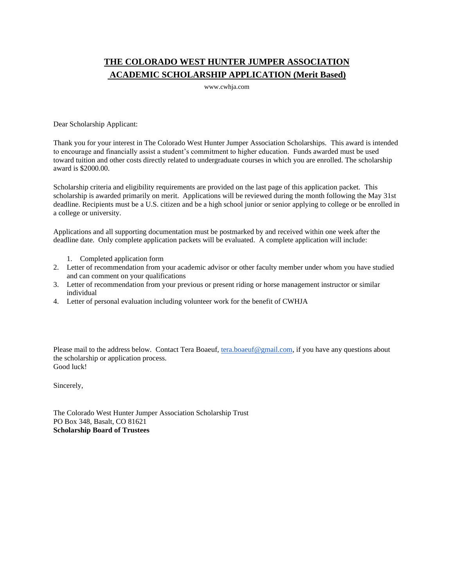## **THE COLORADO WEST HUNTER JUMPER ASSOCIATION ACADEMIC SCHOLARSHIP APPLICATION (Merit Based)**

www.cwhja.com

Dear Scholarship Applicant:

Thank you for your interest in The Colorado West Hunter Jumper Association Scholarships. This award is intended to encourage and financially assist a student's commitment to higher education. Funds awarded must be used toward tuition and other costs directly related to undergraduate courses in which you are enrolled. The scholarship award is \$2000.00.

Scholarship criteria and eligibility requirements are provided on the last page of this application packet. This scholarship is awarded primarily on merit. Applications will be reviewed during the month following the May 31st deadline. Recipients must be a U.S. citizen and be a high school junior or senior applying to college or be enrolled in a college or university.

Applications and all supporting documentation must be postmarked by and received within one week after the deadline date. Only complete application packets will be evaluated. A complete application will include:

- 1. Completed application form
- 2. Letter of recommendation from your academic advisor or other faculty member under whom you have studied and can comment on your qualifications
- 3. Letter of recommendation from your previous or present riding or horse management instructor or similar individual
- 4. Letter of personal evaluation including volunteer work for the benefit of CWHJA

Please mail to the address below. Contact Tera Boaeuf, [tera.boaeuf@gmail.com,](mailto:tera.boaeuf@gmail.com) if you have any questions about the scholarship or application process. Good luck!

Sincerely,

The Colorado West Hunter Jumper Association Scholarship Trust PO Box 348, Basalt, CO 81621 **Scholarship Board of Trustees**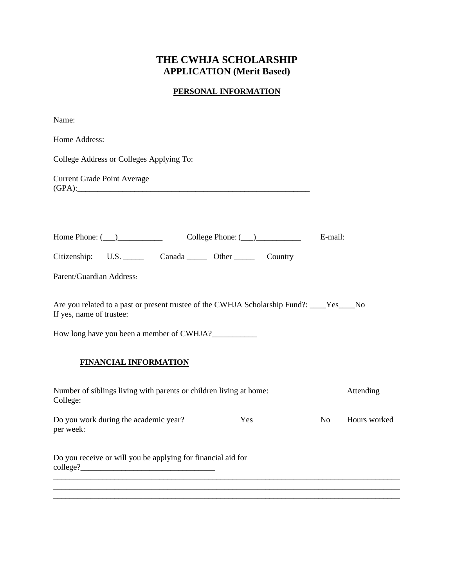# **THE CWHJA SCHOLARSHIP APPLICATION (Merit Based)**

## **PERSONAL INFORMATION**

| Home Address:<br>College Address or Colleges Applying To:<br><b>Current Grade Point Average</b><br>E-mail:<br>Citizenship: U.S. Canada Other Country<br>Parent/Guardian Address:<br>Are you related to a past or present trustee of the CWHJA Scholarship Fund?: ____Yes___No<br>If yes, name of trustee:<br>How long have you been a member of CWHJA?<br><b>FINANCIAL INFORMATION</b><br>Number of siblings living with parents or children living at home:<br>Attending<br>College:<br>Do you work during the academic year?<br>Yes<br>N <sub>o</sub><br>per week:<br>Do you receive or will you be applying for financial aid for<br>$\text{college?}$ | Name: |  |              |
|-----------------------------------------------------------------------------------------------------------------------------------------------------------------------------------------------------------------------------------------------------------------------------------------------------------------------------------------------------------------------------------------------------------------------------------------------------------------------------------------------------------------------------------------------------------------------------------------------------------------------------------------------------------|-------|--|--------------|
|                                                                                                                                                                                                                                                                                                                                                                                                                                                                                                                                                                                                                                                           |       |  |              |
|                                                                                                                                                                                                                                                                                                                                                                                                                                                                                                                                                                                                                                                           |       |  |              |
|                                                                                                                                                                                                                                                                                                                                                                                                                                                                                                                                                                                                                                                           |       |  |              |
|                                                                                                                                                                                                                                                                                                                                                                                                                                                                                                                                                                                                                                                           |       |  |              |
|                                                                                                                                                                                                                                                                                                                                                                                                                                                                                                                                                                                                                                                           |       |  |              |
|                                                                                                                                                                                                                                                                                                                                                                                                                                                                                                                                                                                                                                                           |       |  |              |
|                                                                                                                                                                                                                                                                                                                                                                                                                                                                                                                                                                                                                                                           |       |  |              |
|                                                                                                                                                                                                                                                                                                                                                                                                                                                                                                                                                                                                                                                           |       |  |              |
|                                                                                                                                                                                                                                                                                                                                                                                                                                                                                                                                                                                                                                                           |       |  |              |
|                                                                                                                                                                                                                                                                                                                                                                                                                                                                                                                                                                                                                                                           |       |  |              |
|                                                                                                                                                                                                                                                                                                                                                                                                                                                                                                                                                                                                                                                           |       |  | Hours worked |
|                                                                                                                                                                                                                                                                                                                                                                                                                                                                                                                                                                                                                                                           |       |  |              |
|                                                                                                                                                                                                                                                                                                                                                                                                                                                                                                                                                                                                                                                           |       |  |              |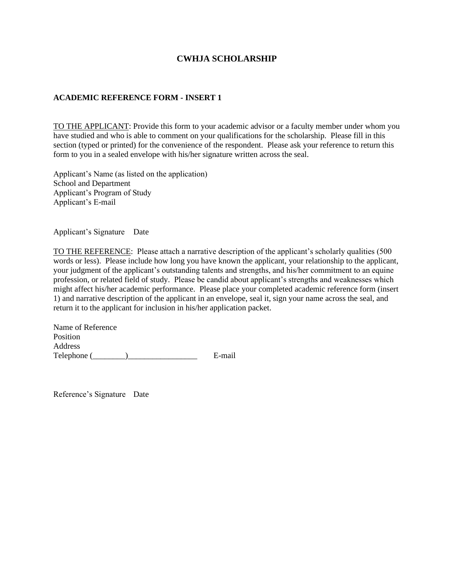#### **CWHJA SCHOLARSHIP**

#### **ACADEMIC REFERENCE FORM - INSERT 1**

TO THE APPLICANT: Provide this form to your academic advisor or a faculty member under whom you have studied and who is able to comment on your qualifications for the scholarship. Please fill in this section (typed or printed) for the convenience of the respondent. Please ask your reference to return this form to you in a sealed envelope with his/her signature written across the seal.

Applicant's Name (as listed on the application) School and Department Applicant's Program of Study Applicant's E-mail

Applicant's Signature Date

TO THE REFERENCE: Please attach a narrative description of the applicant's scholarly qualities (500 words or less). Please include how long you have known the applicant, your relationship to the applicant, your judgment of the applicant's outstanding talents and strengths, and his/her commitment to an equine profession, or related field of study. Please be candid about applicant's strengths and weaknesses which might affect his/her academic performance. Please place your completed academic reference form (insert 1) and narrative description of the applicant in an envelope, seal it, sign your name across the seal, and return it to the applicant for inclusion in his/her application packet.

Name of Reference Position Address Telephone (\_\_\_\_\_\_\_\_)\_\_\_\_\_\_\_\_\_\_\_\_\_\_\_\_\_ E-mail

Reference's Signature Date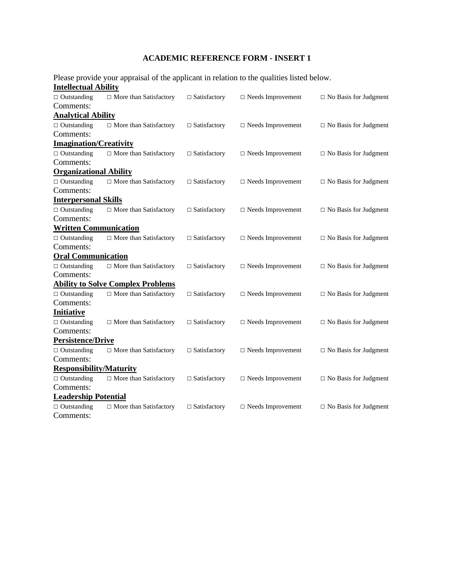## **ACADEMIC REFERENCE FORM - INSERT 1**

|                                | Please provide your appraisal of the applicant in relation to the qualities listed below. |                     |                          |                              |
|--------------------------------|-------------------------------------------------------------------------------------------|---------------------|--------------------------|------------------------------|
| <b>Intellectual Ability</b>    |                                                                                           |                     |                          |                              |
| $\Box$ Outstanding             | $\Box$ More than Satisfactory                                                             | $\Box$ Satisfactory | $\Box$ Needs Improvement | $\Box$ No Basis for Judgment |
| Comments:                      |                                                                                           |                     |                          |                              |
| <b>Analytical Ability</b>      |                                                                                           |                     |                          |                              |
| $\Box$ Outstanding             | $\Box$ More than Satisfactory                                                             | $\Box$ Satisfactory | $\Box$ Needs Improvement | $\Box$ No Basis for Judgment |
| Comments:                      |                                                                                           |                     |                          |                              |
| <b>Imagination/Creativity</b>  |                                                                                           |                     |                          |                              |
| $\Box$ Outstanding             | □ More than Satisfactory                                                                  | □ Satisfactory      | $\Box$ Needs Improvement | $\Box$ No Basis for Judgment |
| Comments:                      |                                                                                           |                     |                          |                              |
| <b>Organizational Ability</b>  |                                                                                           |                     |                          |                              |
| $\Box$ Outstanding             | $\Box$ More than Satisfactory                                                             | $\Box$ Satisfactory | $\Box$ Needs Improvement | $\Box$ No Basis for Judgment |
| Comments:                      |                                                                                           |                     |                          |                              |
| <b>Interpersonal Skills</b>    |                                                                                           |                     |                          |                              |
| $\Box$ Outstanding             | $\Box$ More than Satisfactory                                                             | $\Box$ Satisfactory | $\Box$ Needs Improvement | $\Box$ No Basis for Judgment |
| Comments:                      |                                                                                           |                     |                          |                              |
| <b>Written Communication</b>   |                                                                                           |                     |                          |                              |
| $\Box$ Outstanding             | $\Box$ More than Satisfactory                                                             | $\Box$ Satisfactory | $\Box$ Needs Improvement | $\Box$ No Basis for Judgment |
| Comments:                      |                                                                                           |                     |                          |                              |
| <b>Oral Communication</b>      |                                                                                           |                     |                          |                              |
| $\Box$ Outstanding             | $\Box$ More than Satisfactory                                                             | $\Box$ Satisfactory | $\Box$ Needs Improvement | $\Box$ No Basis for Judgment |
| Comments:                      |                                                                                           |                     |                          |                              |
|                                | <b>Ability to Solve Complex Problems</b>                                                  |                     |                          |                              |
| $\Box$ Outstanding             | □ More than Satisfactory                                                                  | $\Box$ Satisfactory | $\Box$ Needs Improvement | $\Box$ No Basis for Judgment |
| Comments:                      |                                                                                           |                     |                          |                              |
| <b>Initiative</b>              |                                                                                           |                     |                          |                              |
| $\Box$ Outstanding             | $\Box$ More than Satisfactory                                                             | $\Box$ Satisfactory | $\Box$ Needs Improvement | $\Box$ No Basis for Judgment |
| Comments:                      |                                                                                           |                     |                          |                              |
| <b>Persistence/Drive</b>       |                                                                                           |                     |                          |                              |
| $\Box$ Outstanding             | □ More than Satisfactory                                                                  | $\Box$ Satisfactory | $\Box$ Needs Improvement | $\Box$ No Basis for Judgment |
| Comments:                      |                                                                                           |                     |                          |                              |
| <b>Responsibility/Maturity</b> |                                                                                           |                     |                          |                              |
| $\Box$ Outstanding             | □ More than Satisfactory                                                                  | □ Satisfactory      | $\Box$ Needs Improvement | $\Box$ No Basis for Judgment |
| Comments:                      |                                                                                           |                     |                          |                              |
| <b>Leadership Potential</b>    |                                                                                           |                     |                          |                              |
| $\Box$ Outstanding             | $\Box$ More than Satisfactory                                                             | $\Box$ Satisfactory | $\Box$ Needs Improvement | $\Box$ No Basis for Judgment |
| Comments:                      |                                                                                           |                     |                          |                              |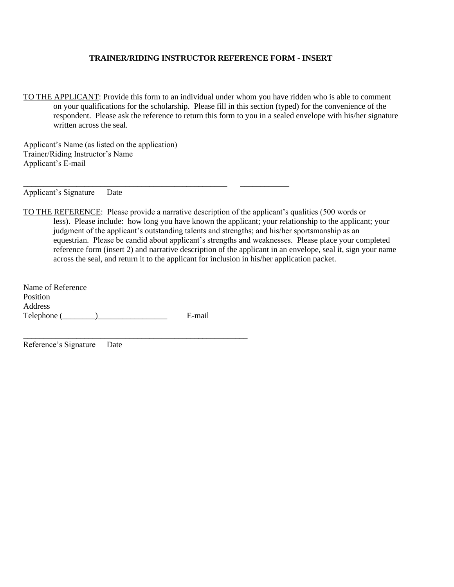#### **TRAINER/RIDING INSTRUCTOR REFERENCE FORM - INSERT**

TO THE APPLICANT: Provide this form to an individual under whom you have ridden who is able to comment on your qualifications for the scholarship. Please fill in this section (typed) for the convenience of the respondent. Please ask the reference to return this form to you in a sealed envelope with his/her signature written across the seal.

Applicant's Name (as listed on the application) Trainer/Riding Instructor's Name Applicant's E-mail

\_\_\_\_\_\_\_\_\_\_\_\_\_\_\_\_\_\_\_\_\_\_\_\_\_\_\_\_\_\_\_\_\_\_\_\_\_\_\_\_\_\_\_\_\_\_\_\_\_\_ \_\_\_\_\_\_\_\_\_\_\_\_

Applicant's Signature Date

TO THE REFERENCE: Please provide a narrative description of the applicant's qualities (500 words or less). Please include: how long you have known the applicant; your relationship to the applicant; your judgment of the applicant's outstanding talents and strengths; and his/her sportsmanship as an equestrian. Please be candid about applicant's strengths and weaknesses. Please place your completed reference form (insert 2) and narrative description of the applicant in an envelope, seal it, sign your name across the seal, and return it to the applicant for inclusion in his/her application packet.

Name of Reference Position Address Telephone (\_\_\_\_\_\_\_\_)\_\_\_\_\_\_\_\_\_\_\_\_\_\_\_\_\_ E-mail

\_\_\_\_\_\_\_\_\_\_\_\_\_\_\_\_\_\_\_\_\_\_\_\_\_\_\_\_\_\_\_\_\_\_\_\_\_\_\_\_\_\_\_\_\_\_\_\_\_\_\_\_\_\_\_

Reference's Signature Date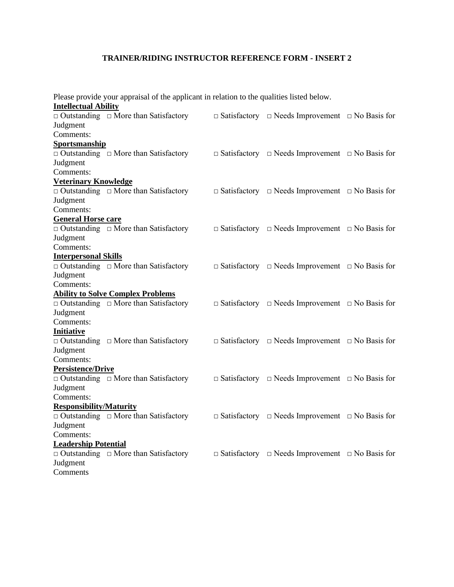#### **TRAINER/RIDING INSTRUCTOR REFERENCE FORM - INSERT 2**

| Please provide your appraisal of the applicant in relation to the qualities listed below.<br><b>Intellectual Ability</b> |                                                  |  |                                                                  |  |  |
|--------------------------------------------------------------------------------------------------------------------------|--------------------------------------------------|--|------------------------------------------------------------------|--|--|
|                                                                                                                          | $\Box$ Outstanding $\Box$ More than Satisfactory |  | $\Box$ Satisfactory $\Box$ Needs Improvement $\Box$ No Basis for |  |  |
| Judgment                                                                                                                 |                                                  |  |                                                                  |  |  |
| Comments:                                                                                                                |                                                  |  |                                                                  |  |  |
| <b>Sportsmanship</b>                                                                                                     |                                                  |  |                                                                  |  |  |
|                                                                                                                          | $\Box$ Outstanding $\Box$ More than Satisfactory |  | $\Box$ Satisfactory $\Box$ Needs Improvement $\Box$ No Basis for |  |  |
| Judgment                                                                                                                 |                                                  |  |                                                                  |  |  |
| Comments:                                                                                                                |                                                  |  |                                                                  |  |  |
| <b>Veterinary Knowledge</b>                                                                                              |                                                  |  |                                                                  |  |  |
|                                                                                                                          | $\Box$ Outstanding $\Box$ More than Satisfactory |  | $\Box$ Satisfactory $\Box$ Needs Improvement $\Box$ No Basis for |  |  |
| Judgment                                                                                                                 |                                                  |  |                                                                  |  |  |
| Comments:                                                                                                                |                                                  |  |                                                                  |  |  |
| General Horse care                                                                                                       |                                                  |  |                                                                  |  |  |
|                                                                                                                          | $\Box$ Outstanding $\Box$ More than Satisfactory |  | $\Box$ Satisfactory $\Box$ Needs Improvement $\Box$ No Basis for |  |  |
| Judgment                                                                                                                 |                                                  |  |                                                                  |  |  |
| Comments:                                                                                                                |                                                  |  |                                                                  |  |  |
| <b>Interpersonal Skills</b>                                                                                              |                                                  |  |                                                                  |  |  |
|                                                                                                                          | $\Box$ Outstanding $\Box$ More than Satisfactory |  | $\Box$ Satisfactory $\Box$ Needs Improvement $\Box$ No Basis for |  |  |
| Judgment                                                                                                                 |                                                  |  |                                                                  |  |  |
| Comments:                                                                                                                |                                                  |  |                                                                  |  |  |
|                                                                                                                          | <b>Ability to Solve Complex Problems</b>         |  |                                                                  |  |  |
|                                                                                                                          | $\Box$ Outstanding $\Box$ More than Satisfactory |  | $\Box$ Satisfactory $\Box$ Needs Improvement $\Box$ No Basis for |  |  |
| Judgment                                                                                                                 |                                                  |  |                                                                  |  |  |
| Comments:                                                                                                                |                                                  |  |                                                                  |  |  |
| <b>Initiative</b>                                                                                                        |                                                  |  |                                                                  |  |  |
|                                                                                                                          | $\Box$ Outstanding $\Box$ More than Satisfactory |  | $\Box$ Satisfactory $\Box$ Needs Improvement $\Box$ No Basis for |  |  |
| Judgment                                                                                                                 |                                                  |  |                                                                  |  |  |
| Comments:                                                                                                                |                                                  |  |                                                                  |  |  |
| Persistence/Drive                                                                                                        |                                                  |  |                                                                  |  |  |
|                                                                                                                          | $\Box$ Outstanding $\Box$ More than Satisfactory |  | $\Box$ Satisfactory $\Box$ Needs Improvement $\Box$ No Basis for |  |  |
| Judgment                                                                                                                 |                                                  |  |                                                                  |  |  |
| Comments:                                                                                                                |                                                  |  |                                                                  |  |  |
| <b>Responsibility/Maturity</b>                                                                                           |                                                  |  |                                                                  |  |  |
|                                                                                                                          | $\Box$ Outstanding $\Box$ More than Satisfactory |  | $\Box$ Satisfactory $\Box$ Needs Improvement $\Box$ No Basis for |  |  |
| Judgment                                                                                                                 |                                                  |  |                                                                  |  |  |
| Comments:                                                                                                                |                                                  |  |                                                                  |  |  |
| <b>Leadership Potential</b>                                                                                              |                                                  |  |                                                                  |  |  |
|                                                                                                                          | $\Box$ Outstanding $\Box$ More than Satisfactory |  | $\Box$ Satisfactory $\Box$ Needs Improvement $\Box$ No Basis for |  |  |
| Judgment                                                                                                                 |                                                  |  |                                                                  |  |  |
| Comments                                                                                                                 |                                                  |  |                                                                  |  |  |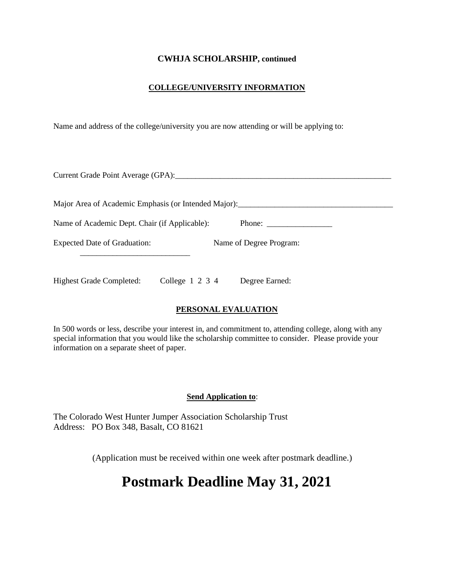#### **CWHJA SCHOLARSHIP, continued**

#### **COLLEGE/UNIVERSITY INFORMATION**

Name and address of the college/university you are now attending or will be applying to:

| Current Grade Point Average (GPA):                                                |  |
|-----------------------------------------------------------------------------------|--|
| Major Area of Academic Emphasis (or Intended Major): ____________________________ |  |
| Name of Academic Dept. Chair (if Applicable):                                     |  |
| <b>Expected Date of Graduation:</b><br>Name of Degree Program:                    |  |
| College $1\ 2\ 3\ 4$<br><b>Highest Grade Completed:</b><br>Degree Earned:         |  |

#### **PERSONAL EVALUATION**

In 500 words or less, describe your interest in, and commitment to, attending college, along with any special information that you would like the scholarship committee to consider. Please provide your information on a separate sheet of paper.

#### **Send Application to**:

The Colorado West Hunter Jumper Association Scholarship Trust Address: PO Box 348, Basalt, CO 81621

(Application must be received within one week after postmark deadline.)

# **Postmark Deadline May 31, 2021**